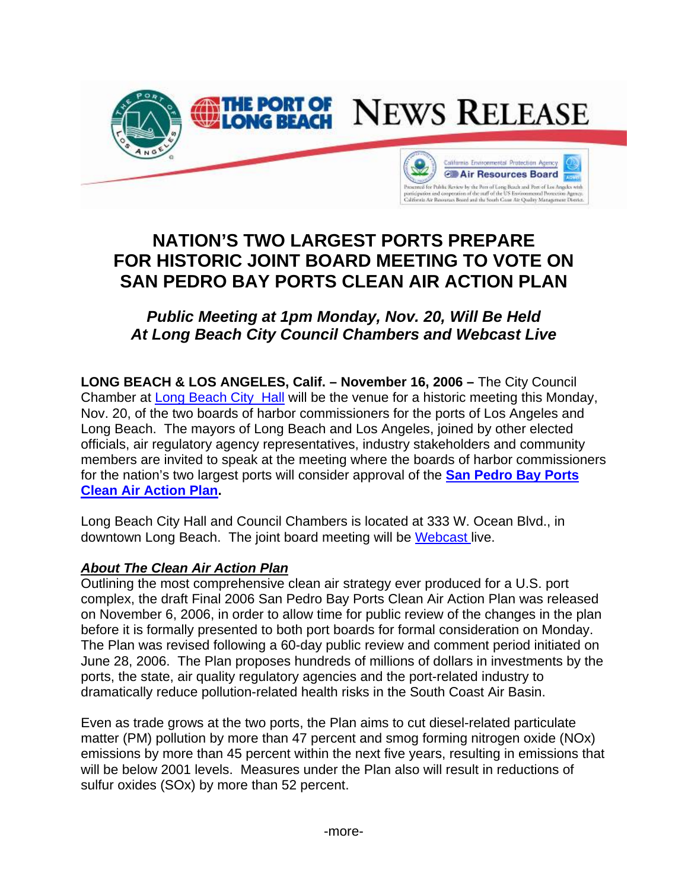

## **NATION'S TWO LARGEST PORTS PREPARE FOR HISTORIC JOINT BOARD MEETING TO VOTE ON SAN PEDRO BAY PORTS CLEAN AIR ACTION PLAN**

## *Public Meeting at 1pm Monday, Nov. 20, Will Be Held At Long Beach City Council Chambers and Webcast Live*

**LONG BEACH & LOS ANGELES, Calif. – November 16, 2006 –** The City Council Chamber at [Long Beach City Hall](http://www.polb.com/civica/filebank/blobdload.asp?BlobID=3425) will be the venue for a historic meeting this Monday, Nov. 20, of the two boards of harbor commissioners for the ports of Los Angeles and Long Beach. The mayors of Long Beach and Los Angeles, joined by other elected officials, air regulatory agency representatives, industry stakeholders and community members are invited to speak at the meeting where the boards of harbor commissioners [for the nation's two largest ports will consider approval of the](http://www.portoflosangeles.org/DOC/CAAP_Overview_Final.pdf) **San Pedro Bay Ports Clean Air Action Plan.** 

Long Beach City Hall and Council Chambers is located at 333 W. Ocean Blvd., in downtown Long Beach. The joint board meeting will be [Webcast](http://longbeach.granicus.com/MediaPlayer.php?publish_id=236) live.

## *About The Clean Air Action Plan*

Outlining the most comprehensive clean air strategy ever produced for a U.S. port complex, the draft Final 2006 San Pedro Bay Ports Clean Air Action Plan was released on November 6, 2006, in order to allow time for public review of the changes in the plan before it is formally presented to both port boards for formal consideration on Monday. The Plan was revised following a 60-day public review and comment period initiated on June 28, 2006. The Plan proposes hundreds of millions of dollars in investments by the ports, the state, air quality regulatory agencies and the port-related industry to dramatically reduce pollution-related health risks in the South Coast Air Basin.

Even as trade grows at the two ports, the Plan aims to cut diesel-related particulate matter (PM) pollution by more than 47 percent and smog forming nitrogen oxide (NOx) emissions by more than 45 percent within the next five years, resulting in emissions that will be below 2001 levels. Measures under the Plan also will result in reductions of sulfur oxides (SOx) by more than 52 percent.